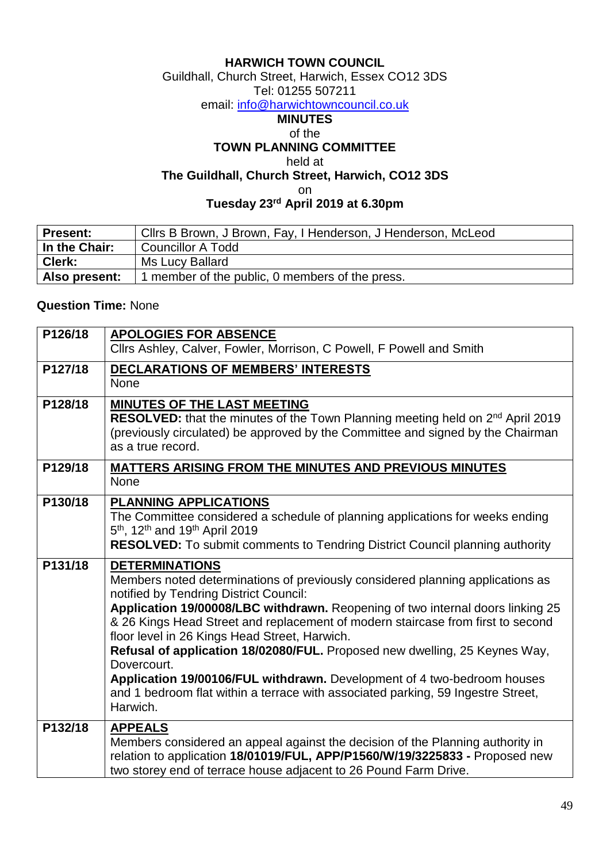### **HARWICH TOWN COUNCIL**

Guildhall, Church Street, Harwich, Essex CO12 3DS

### Tel: 01255 507211

email: [info@harwichtowncouncil.co.uk](mailto:info@harwichtowncouncil.co.uk)

#### **MINUTES** of the

## **TOWN PLANNING COMMITTEE**

held at

**The Guildhall, Church Street, Harwich, CO12 3DS**

on

#### **Tuesday 23 rd April 2019 at 6.30pm**

| <b>Present:</b> | Clirs B Brown, J Brown, Fay, I Henderson, J Henderson, McLeod |
|-----------------|---------------------------------------------------------------|
| In the Chair:   | Councillor A Todd                                             |
| ∣ Clerk:        | Ms Lucy Ballard                                               |
| Also present:   | member of the public, 0 members of the press.                 |

### **Question Time:** None

| P126/18 | <b>APOLOGIES FOR ABSENCE</b><br>Cllrs Ashley, Calver, Fowler, Morrison, C Powell, F Powell and Smith                                                                                                                                                                                                                                                                                                                                                                                                                                                                                                                                            |
|---------|-------------------------------------------------------------------------------------------------------------------------------------------------------------------------------------------------------------------------------------------------------------------------------------------------------------------------------------------------------------------------------------------------------------------------------------------------------------------------------------------------------------------------------------------------------------------------------------------------------------------------------------------------|
| P127/18 | <b>DECLARATIONS OF MEMBERS' INTERESTS</b><br><b>None</b>                                                                                                                                                                                                                                                                                                                                                                                                                                                                                                                                                                                        |
| P128/18 | <b>MINUTES OF THE LAST MEETING</b><br>RESOLVED: that the minutes of the Town Planning meeting held on 2 <sup>nd</sup> April 2019<br>(previously circulated) be approved by the Committee and signed by the Chairman<br>as a true record.                                                                                                                                                                                                                                                                                                                                                                                                        |
| P129/18 | MATTERS ARISING FROM THE MINUTES AND PREVIOUS MINUTES<br>None                                                                                                                                                                                                                                                                                                                                                                                                                                                                                                                                                                                   |
| P130/18 | <b>PLANNING APPLICATIONS</b><br>The Committee considered a schedule of planning applications for weeks ending<br>5 <sup>th</sup> , 12 <sup>th</sup> and 19 <sup>th</sup> April 2019<br><b>RESOLVED:</b> To submit comments to Tendring District Council planning authority                                                                                                                                                                                                                                                                                                                                                                      |
| P131/18 | <b>DETERMINATIONS</b><br>Members noted determinations of previously considered planning applications as<br>notified by Tendring District Council:<br>Application 19/00008/LBC withdrawn. Reopening of two internal doors linking 25<br>& 26 Kings Head Street and replacement of modern staircase from first to second<br>floor level in 26 Kings Head Street, Harwich.<br>Refusal of application 18/02080/FUL. Proposed new dwelling, 25 Keynes Way,<br>Dovercourt.<br>Application 19/00106/FUL withdrawn. Development of 4 two-bedroom houses<br>and 1 bedroom flat within a terrace with associated parking, 59 Ingestre Street,<br>Harwich. |
| P132/18 | <b>APPEALS</b><br>Members considered an appeal against the decision of the Planning authority in<br>relation to application 18/01019/FUL, APP/P1560/W/19/3225833 - Proposed new<br>two storey end of terrace house adjacent to 26 Pound Farm Drive.                                                                                                                                                                                                                                                                                                                                                                                             |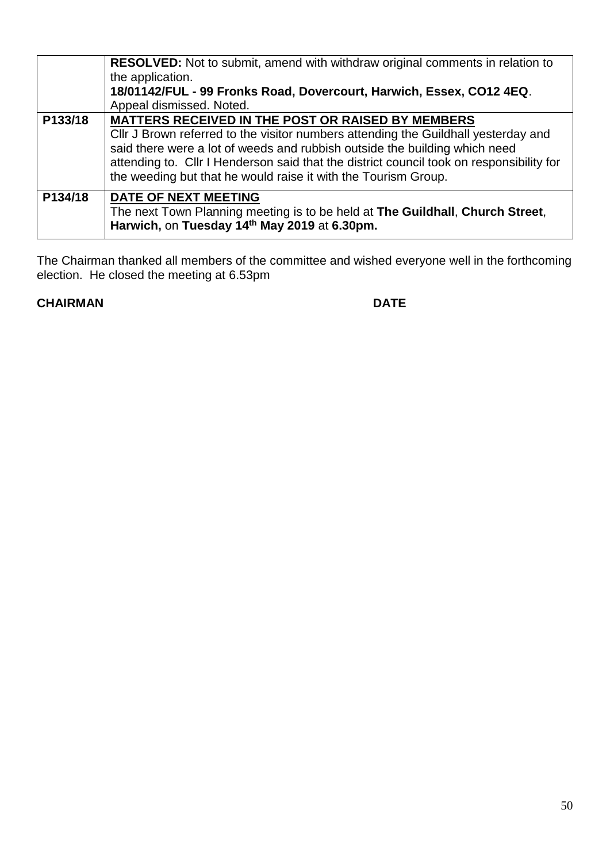|         | <b>RESOLVED:</b> Not to submit, amend with withdraw original comments in relation to<br>the application.<br>18/01142/FUL - 99 Fronks Road, Dovercourt, Harwich, Essex, CO12 4EQ.<br>Appeal dismissed. Noted.                                                                                                                                                                               |
|---------|--------------------------------------------------------------------------------------------------------------------------------------------------------------------------------------------------------------------------------------------------------------------------------------------------------------------------------------------------------------------------------------------|
| P133/18 | <b>MATTERS RECEIVED IN THE POST OR RAISED BY MEMBERS</b><br>Cllr J Brown referred to the visitor numbers attending the Guildhall yesterday and<br>said there were a lot of weeds and rubbish outside the building which need<br>attending to. Cllr I Henderson said that the district council took on responsibility for<br>the weeding but that he would raise it with the Tourism Group. |
| P134/18 | DATE OF NEXT MEETING<br>The next Town Planning meeting is to be held at The Guildhall, Church Street,<br>Harwich, on Tuesday 14th May 2019 at 6.30pm.                                                                                                                                                                                                                                      |

The Chairman thanked all members of the committee and wished everyone well in the forthcoming election. He closed the meeting at 6.53pm

# **CHAIRMAN** DATE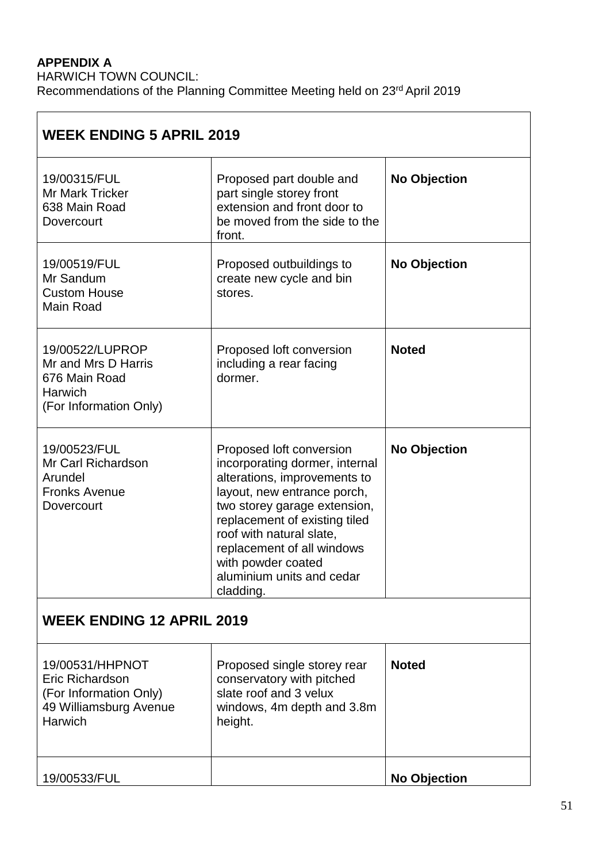# **APPENDIX A**

HARWICH TOWN COUNCIL: Recommendations of the Planning Committee Meeting held on 23<sup>rd</sup> April 2019

| <b>WEEK ENDING 5 APRIL 2019</b>                                                                          |                                                                                                                                                                                                                                                                                                                      |                     |  |  |  |
|----------------------------------------------------------------------------------------------------------|----------------------------------------------------------------------------------------------------------------------------------------------------------------------------------------------------------------------------------------------------------------------------------------------------------------------|---------------------|--|--|--|
| 19/00315/FUL<br><b>Mr Mark Tricker</b><br>638 Main Road<br>Dovercourt                                    | Proposed part double and<br>part single storey front<br>extension and front door to<br>be moved from the side to the<br>front.                                                                                                                                                                                       | <b>No Objection</b> |  |  |  |
| 19/00519/FUL<br>Mr Sandum<br><b>Custom House</b><br>Main Road                                            | Proposed outbuildings to<br>create new cycle and bin<br>stores.                                                                                                                                                                                                                                                      | <b>No Objection</b> |  |  |  |
| 19/00522/LUPROP<br>Mr and Mrs D Harris<br>676 Main Road<br><b>Harwich</b><br>(For Information Only)      | Proposed loft conversion<br>including a rear facing<br>dormer.                                                                                                                                                                                                                                                       | <b>Noted</b>        |  |  |  |
| 19/00523/FUL<br>Mr Carl Richardson<br>Arundel<br><b>Fronks Avenue</b><br>Dovercourt                      | Proposed loft conversion<br>incorporating dormer, internal<br>alterations, improvements to<br>layout, new entrance porch,<br>two storey garage extension,<br>replacement of existing tiled<br>roof with natural slate,<br>replacement of all windows<br>with powder coated<br>aluminium units and cedar<br>cladding. | <b>No Objection</b> |  |  |  |
| <b>WEEK ENDING 12 APRIL 2019</b>                                                                         |                                                                                                                                                                                                                                                                                                                      |                     |  |  |  |
| 19/00531/HHPNOT<br>Eric Richardson<br>(For Information Only)<br>49 Williamsburg Avenue<br><b>Harwich</b> | Proposed single storey rear<br>conservatory with pitched<br>slate roof and 3 velux<br>windows, 4m depth and 3.8m<br>height.                                                                                                                                                                                          | <b>Noted</b>        |  |  |  |
| 19/00533/FUL                                                                                             |                                                                                                                                                                                                                                                                                                                      | No Objection        |  |  |  |